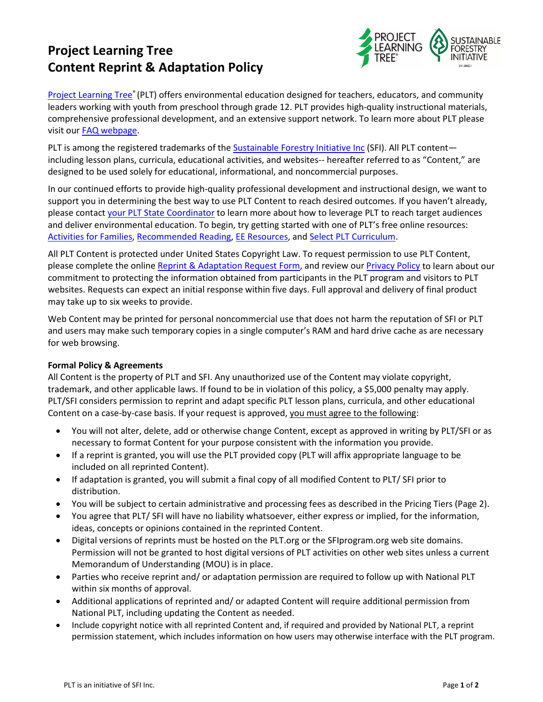# **Project Learning Tree Content Reprint & Adaptation Policy**



[Project Learning Tree®](https://www.plt.org/) (PLT) offers environmental education designed for teachers, educators, and community leaders working with youth from preschool through grade 12. PLT provides high-quality instructional materials, comprehensive professional development, and an extensive support network. To learn more about PLT please visit our FAQ [webpage.](https://www.plt.org/faq/)

PLT is among the registered trademarks of the [Sustainable Forestry Initiative Inc](http://www.sfiprogram.org/) (SFI). All PLT content including lesson plans, curricula, educational activities, and websites-- hereafter referred to as "Content," are designed to be used solely for educational, informational, and noncommercial purposes.

In our continued efforts to provide high-quality professional development and instructional design, we want to support you in determining the best way to use PLT Content to reach desired outcomes. If you haven't already, please contact [your PLT State Coordinator](https://www.plt.org/your-state-project-learning-tree-program/) to learn more about how to leverage PLT to reach target audiences and deliver environmental education. To begin, try getting started with one of PLT's free online resources: [Activities for Families,](https://www.plt.org/activities-for-families/) [Recommended Reading,](https://www.plt.org/recommended_reading) [EE Resources,](https://www.plt.org/resources/resources-for-plt-lessons) and [Select PLT Curriculum.](https://www.plt.org/custom-login/)

All PLT Content is protected under United States Copyright Law. To request permission to use PLT Content, please complete the online [Reprint & Adaptation Request Form,](https://www.surveymonkey.com/r/PLTReprint) and review our [Privacy Policy](https://www.plt.org/about-us/privacy-policy/) to learn about our commitment to protecting the information obtained from participants in the PLT program and visitors to PLT websites. Requests can expect an initial response within five days. Full approval and delivery of final product may take up to six weeks to provide.

Web Content may be printed for personal noncommercial use that does not harm the reputation of SFI or PLT and users may make such temporary copies in a single computer's RAM and hard drive cache as are necessary for web browsing.

#### **Formal Policy & Agreements**

All Content is the property of PLT and SFI. Any unauthorized use of the Content may violate copyright, trademark, and other applicable laws. If found to be in violation of this policy, a \$5,000 penalty may apply. PLT/SFI considers permission to reprint and adapt specific PLT lesson plans, curricula, and other educational Content on a case-by-case basis. If your request is approved, you must agree to the following:

- You will not alter, delete, add or otherwise change Content, except as approved in writing by PLT/SFI or as necessary to format Content for your purpose consistent with the information you provide.
- If a reprint is granted, you will use the PLT provided copy (PLT will affix appropriate language to be included on all reprinted Content).
- If adaptation is granted, you will submit a final copy of all modified Content to PLT/ SFI prior to distribution.
- You will be subject to certain administrative and processing fees as described in the Pricing Tiers (Page 2).
- You agree that PLT/ SFI will have no liability whatsoever, either express or implied, for the information, ideas, concepts or opinions contained in the reprinted Content.
- Digital versions of reprints must be hosted on the PLT.org or the SFIprogram.org web site domains. Permission will not be granted to host digital versions of PLT activities on other web sites unless a current Memorandum of Understanding (MOU) is in place.
- Parties who receive reprint and/ or adaptation permission are required to follow up with National PLT within six months of approval.
- Additional applications of reprinted and/ or adapted Content will require additional permission from National PLT, including updating the Content as needed.
- Include copyright notice with all reprinted Content and, if required and provided by National PLT, a reprint permission statement, which includes information on how users may otherwise interface with the PLT program.